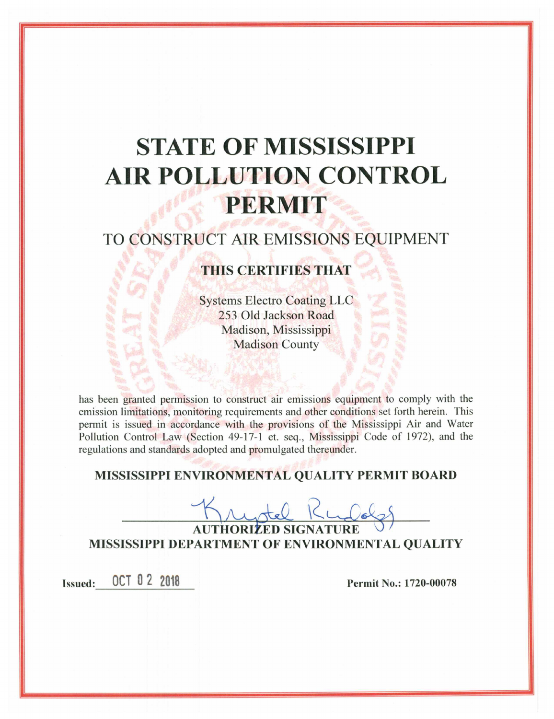# **STATE OF MISSISSIPPI AIR POLLUTION CONTROL** PERMIT

# TO CONSTRUCT AIR EMISSIONS EQUIPMENT

# THIS CERTIFIES THAT

**Systems Electro Coating LLC** 253 Old Jackson Road Madison, Mississippi **Madison County** 

has been granted permission to construct air emissions equipment to comply with the emission limitations, monitoring requirements and other conditions set forth herein. This permit is issued in accordance with the provisions of the Mississippi Air and Water Pollution Control Law (Section 49-17-1 et. seq., Mississippi Code of 1972), and the regulations and standards adopted and promulgated thereunder.

# MISSISSIPPI ENVIRONMENTAL QUALITY PERMIT BOARD

AUTHORIZED SIGI **MISSISSIPPI DEPARTMENT OF ENVIRONMENTAL OUALITY** 

OCT 0 2 2018 **Issued:** 

Permit No.: 1720-00078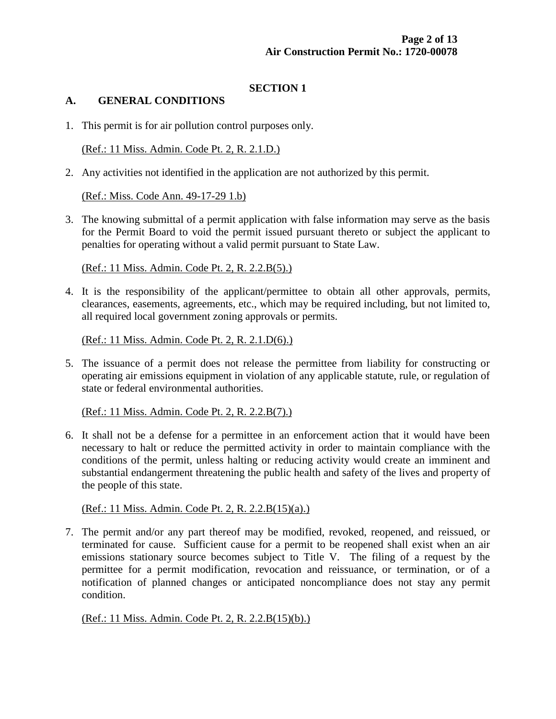## **SECTION 1**

#### **A. GENERAL CONDITIONS**

1. This permit is for air pollution control purposes only.

(Ref.: 11 Miss. Admin. Code Pt. 2, R. 2.1.D.)

2. Any activities not identified in the application are not authorized by this permit.

(Ref.: Miss. Code Ann. 49-17-29 1.b)

3. The knowing submittal of a permit application with false information may serve as the basis for the Permit Board to void the permit issued pursuant thereto or subject the applicant to penalties for operating without a valid permit pursuant to State Law.

(Ref.: 11 Miss. Admin. Code Pt. 2, R. 2.2.B(5).)

4. It is the responsibility of the applicant/permittee to obtain all other approvals, permits, clearances, easements, agreements, etc., which may be required including, but not limited to, all required local government zoning approvals or permits.

(Ref.: 11 Miss. Admin. Code Pt. 2, R. 2.1.D(6).)

5. The issuance of a permit does not release the permittee from liability for constructing or operating air emissions equipment in violation of any applicable statute, rule, or regulation of state or federal environmental authorities.

(Ref.: 11 Miss. Admin. Code Pt. 2, R. 2.2.B(7).)

6. It shall not be a defense for a permittee in an enforcement action that it would have been necessary to halt or reduce the permitted activity in order to maintain compliance with the conditions of the permit, unless halting or reducing activity would create an imminent and substantial endangerment threatening the public health and safety of the lives and property of the people of this state.

(Ref.: 11 Miss. Admin. Code Pt. 2, R. 2.2.B(15)(a).)

7. The permit and/or any part thereof may be modified, revoked, reopened, and reissued, or terminated for cause. Sufficient cause for a permit to be reopened shall exist when an air emissions stationary source becomes subject to Title V. The filing of a request by the permittee for a permit modification, revocation and reissuance, or termination, or of a notification of planned changes or anticipated noncompliance does not stay any permit condition.

#### (Ref.: 11 Miss. Admin. Code Pt. 2, R. 2.2.B(15)(b).)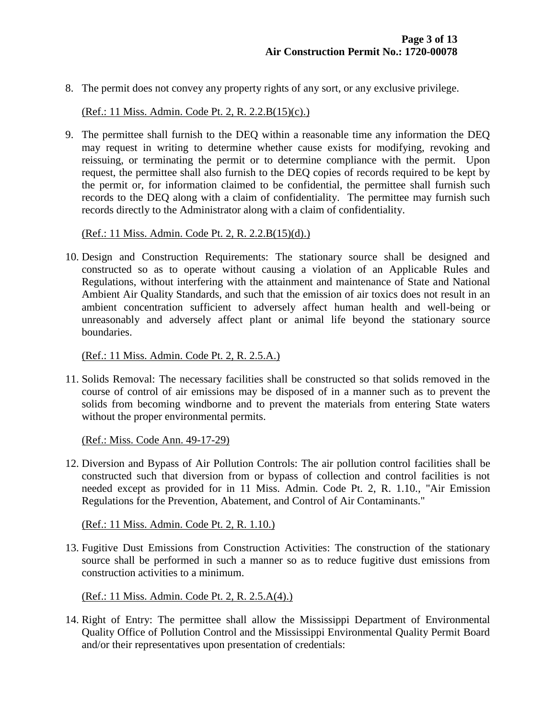8. The permit does not convey any property rights of any sort, or any exclusive privilege.

(Ref.: 11 Miss. Admin. Code Pt. 2, R. 2.2.B(15)(c).)

9. The permittee shall furnish to the DEQ within a reasonable time any information the DEQ may request in writing to determine whether cause exists for modifying, revoking and reissuing, or terminating the permit or to determine compliance with the permit. Upon request, the permittee shall also furnish to the DEQ copies of records required to be kept by the permit or, for information claimed to be confidential, the permittee shall furnish such records to the DEQ along with a claim of confidentiality. The permittee may furnish such records directly to the Administrator along with a claim of confidentiality.

(Ref.: 11 Miss. Admin. Code Pt. 2, R. 2.2.B(15)(d).)

10. Design and Construction Requirements: The stationary source shall be designed and constructed so as to operate without causing a violation of an Applicable Rules and Regulations, without interfering with the attainment and maintenance of State and National Ambient Air Quality Standards, and such that the emission of air toxics does not result in an ambient concentration sufficient to adversely affect human health and well-being or unreasonably and adversely affect plant or animal life beyond the stationary source boundaries.

(Ref.: 11 Miss. Admin. Code Pt. 2, R. 2.5.A.)

11. Solids Removal: The necessary facilities shall be constructed so that solids removed in the course of control of air emissions may be disposed of in a manner such as to prevent the solids from becoming windborne and to prevent the materials from entering State waters without the proper environmental permits.

(Ref.: Miss. Code Ann. 49-17-29)

12. Diversion and Bypass of Air Pollution Controls: The air pollution control facilities shall be constructed such that diversion from or bypass of collection and control facilities is not needed except as provided for in 11 Miss. Admin. Code Pt. 2, R. 1.10., "Air Emission Regulations for the Prevention, Abatement, and Control of Air Contaminants."

(Ref.: 11 Miss. Admin. Code Pt. 2, R. 1.10.)

13. Fugitive Dust Emissions from Construction Activities: The construction of the stationary source shall be performed in such a manner so as to reduce fugitive dust emissions from construction activities to a minimum.

(Ref.: 11 Miss. Admin. Code Pt. 2, R. 2.5.A(4).)

14. Right of Entry: The permittee shall allow the Mississippi Department of Environmental Quality Office of Pollution Control and the Mississippi Environmental Quality Permit Board and/or their representatives upon presentation of credentials: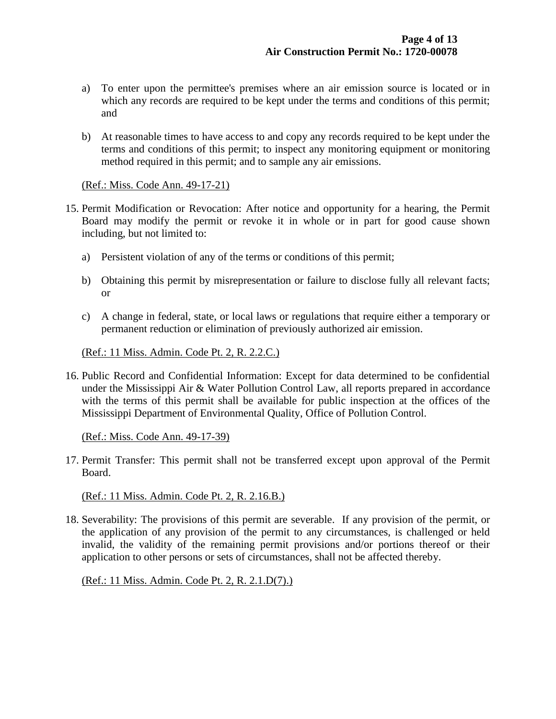- a) To enter upon the permittee's premises where an air emission source is located or in which any records are required to be kept under the terms and conditions of this permit; and
- b) At reasonable times to have access to and copy any records required to be kept under the terms and conditions of this permit; to inspect any monitoring equipment or monitoring method required in this permit; and to sample any air emissions.

#### (Ref.: Miss. Code Ann. 49-17-21)

- 15. Permit Modification or Revocation: After notice and opportunity for a hearing, the Permit Board may modify the permit or revoke it in whole or in part for good cause shown including, but not limited to:
	- a) Persistent violation of any of the terms or conditions of this permit;
	- b) Obtaining this permit by misrepresentation or failure to disclose fully all relevant facts; or
	- c) A change in federal, state, or local laws or regulations that require either a temporary or permanent reduction or elimination of previously authorized air emission.

(Ref.: 11 Miss. Admin. Code Pt. 2, R. 2.2.C.)

16. Public Record and Confidential Information: Except for data determined to be confidential under the Mississippi Air & Water Pollution Control Law, all reports prepared in accordance with the terms of this permit shall be available for public inspection at the offices of the Mississippi Department of Environmental Quality, Office of Pollution Control.

(Ref.: Miss. Code Ann. 49-17-39)

17. Permit Transfer: This permit shall not be transferred except upon approval of the Permit Board.

(Ref.: 11 Miss. Admin. Code Pt. 2, R. 2.16.B.)

18. Severability: The provisions of this permit are severable. If any provision of the permit, or the application of any provision of the permit to any circumstances, is challenged or held invalid, the validity of the remaining permit provisions and/or portions thereof or their application to other persons or sets of circumstances, shall not be affected thereby.

(Ref.: 11 Miss. Admin. Code Pt. 2, R. 2.1.D(7).)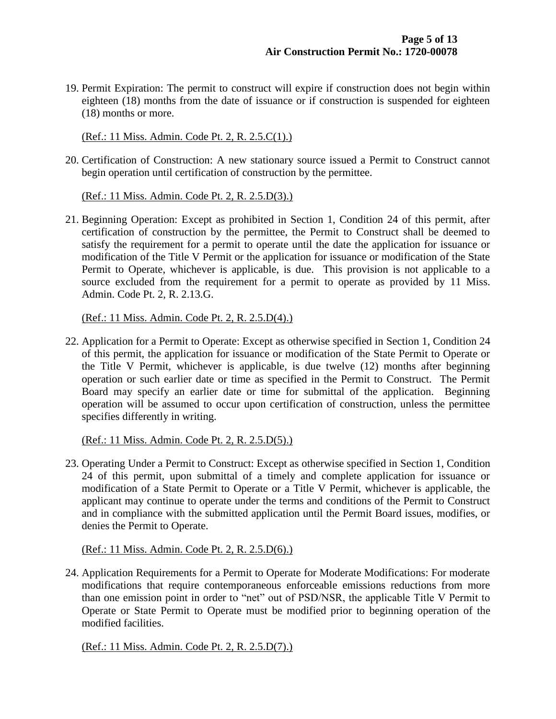19. Permit Expiration: The permit to construct will expire if construction does not begin within eighteen (18) months from the date of issuance or if construction is suspended for eighteen (18) months or more.

(Ref.: 11 Miss. Admin. Code Pt. 2, R. 2.5.C(1).)

20. Certification of Construction: A new stationary source issued a Permit to Construct cannot begin operation until certification of construction by the permittee.

(Ref.: 11 Miss. Admin. Code Pt. 2, R. 2.5.D(3).)

21. Beginning Operation: Except as prohibited in Section 1, Condition 24 of this permit, after certification of construction by the permittee, the Permit to Construct shall be deemed to satisfy the requirement for a permit to operate until the date the application for issuance or modification of the Title V Permit or the application for issuance or modification of the State Permit to Operate, whichever is applicable, is due. This provision is not applicable to a source excluded from the requirement for a permit to operate as provided by 11 Miss. Admin. Code Pt. 2, R. 2.13.G.

(Ref.: 11 Miss. Admin. Code Pt. 2, R. 2.5.D(4).)

22. Application for a Permit to Operate: Except as otherwise specified in Section 1, Condition 24 of this permit, the application for issuance or modification of the State Permit to Operate or the Title V Permit, whichever is applicable, is due twelve (12) months after beginning operation or such earlier date or time as specified in the Permit to Construct. The Permit Board may specify an earlier date or time for submittal of the application. Beginning operation will be assumed to occur upon certification of construction, unless the permittee specifies differently in writing.

(Ref.: 11 Miss. Admin. Code Pt. 2, R. 2.5.D(5).)

23. Operating Under a Permit to Construct: Except as otherwise specified in Section 1, Condition 24 of this permit, upon submittal of a timely and complete application for issuance or modification of a State Permit to Operate or a Title V Permit, whichever is applicable, the applicant may continue to operate under the terms and conditions of the Permit to Construct and in compliance with the submitted application until the Permit Board issues, modifies, or denies the Permit to Operate.

(Ref.: 11 Miss. Admin. Code Pt. 2, R. 2.5.D(6).)

24. Application Requirements for a Permit to Operate for Moderate Modifications: For moderate modifications that require contemporaneous enforceable emissions reductions from more than one emission point in order to "net" out of PSD/NSR, the applicable Title V Permit to Operate or State Permit to Operate must be modified prior to beginning operation of the modified facilities.

(Ref.: 11 Miss. Admin. Code Pt. 2, R. 2.5.D(7).)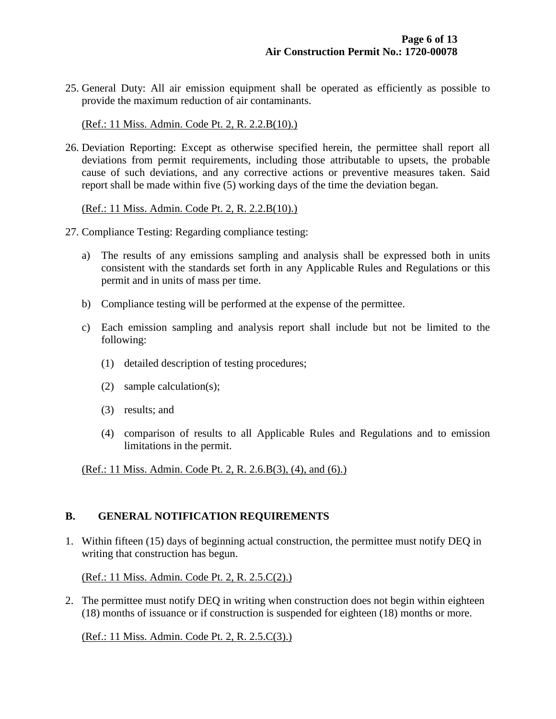25. General Duty: All air emission equipment shall be operated as efficiently as possible to provide the maximum reduction of air contaminants.

(Ref.: 11 Miss. Admin. Code Pt. 2, R. 2.2.B(10).)

26. Deviation Reporting: Except as otherwise specified herein, the permittee shall report all deviations from permit requirements, including those attributable to upsets, the probable cause of such deviations, and any corrective actions or preventive measures taken. Said report shall be made within five (5) working days of the time the deviation began.

(Ref.: 11 Miss. Admin. Code Pt. 2, R. 2.2.B(10).)

- 27. Compliance Testing: Regarding compliance testing:
	- a) The results of any emissions sampling and analysis shall be expressed both in units consistent with the standards set forth in any Applicable Rules and Regulations or this permit and in units of mass per time.
	- b) Compliance testing will be performed at the expense of the permittee.
	- c) Each emission sampling and analysis report shall include but not be limited to the following:
		- (1) detailed description of testing procedures;
		- (2) sample calculation(s);
		- (3) results; and
		- (4) comparison of results to all Applicable Rules and Regulations and to emission limitations in the permit.

(Ref.: 11 Miss. Admin. Code Pt. 2, R. 2.6.B(3), (4), and (6).)

#### **B. GENERAL NOTIFICATION REQUIREMENTS**

1. Within fifteen (15) days of beginning actual construction, the permittee must notify DEQ in writing that construction has begun.

(Ref.: 11 Miss. Admin. Code Pt. 2, R. 2.5.C(2).)

2. The permittee must notify DEQ in writing when construction does not begin within eighteen (18) months of issuance or if construction is suspended for eighteen (18) months or more.

(Ref.: 11 Miss. Admin. Code Pt. 2, R. 2.5.C(3).)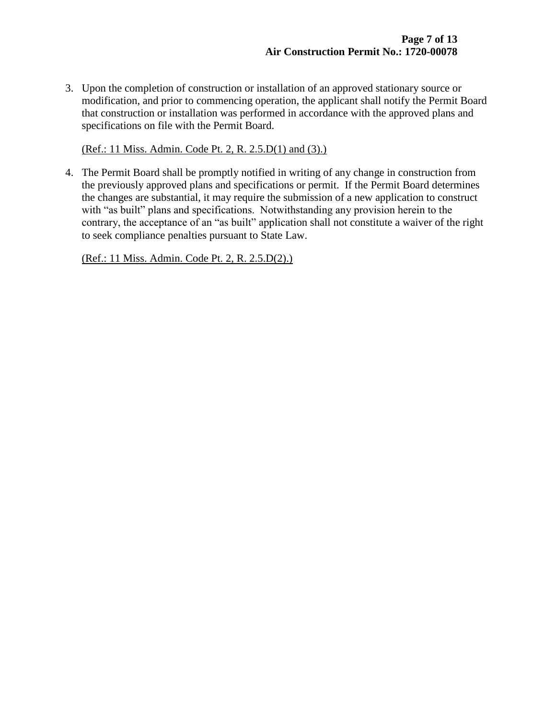3. Upon the completion of construction or installation of an approved stationary source or modification, and prior to commencing operation, the applicant shall notify the Permit Board that construction or installation was performed in accordance with the approved plans and specifications on file with the Permit Board.

(Ref.: 11 Miss. Admin. Code Pt. 2, R. 2.5.D(1) and (3).)

4. The Permit Board shall be promptly notified in writing of any change in construction from the previously approved plans and specifications or permit. If the Permit Board determines the changes are substantial, it may require the submission of a new application to construct with "as built" plans and specifications. Notwithstanding any provision herein to the contrary, the acceptance of an "as built" application shall not constitute a waiver of the right to seek compliance penalties pursuant to State Law.

(Ref.: 11 Miss. Admin. Code Pt. 2, R. 2.5.D(2).)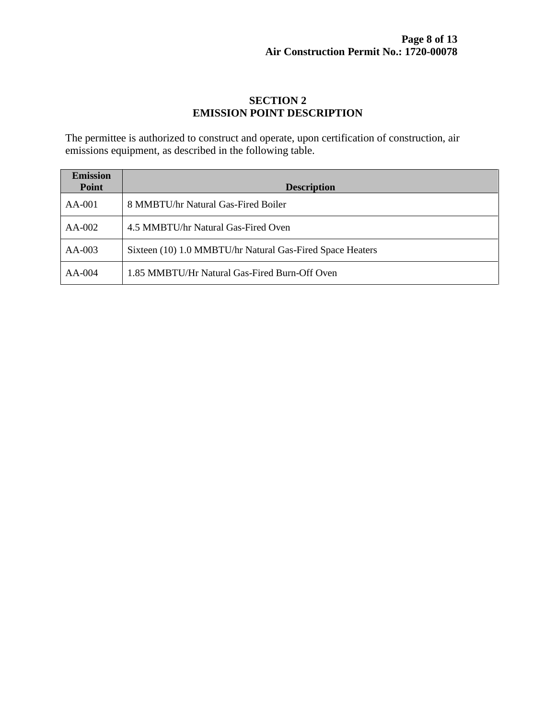# **SECTION 2 EMISSION POINT DESCRIPTION**

The permittee is authorized to construct and operate, upon certification of construction, air emissions equipment, as described in the following table.

| <b>Emission</b> |                                                           |  |  |
|-----------------|-----------------------------------------------------------|--|--|
| Point           | <b>Description</b>                                        |  |  |
| $AA-001$        | 8 MMBTU/hr Natural Gas-Fired Boiler                       |  |  |
| $AA-002$        | 4.5 MMBTU/hr Natural Gas-Fired Oven                       |  |  |
| $AA-003$        | Sixteen (10) 1.0 MMBTU/hr Natural Gas-Fired Space Heaters |  |  |
| $AA-004$        | 1.85 MMBTU/Hr Natural Gas-Fired Burn-Off Oven             |  |  |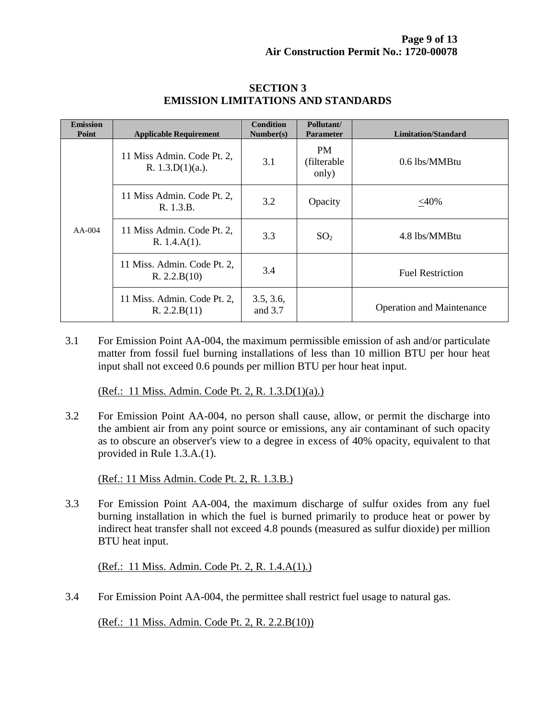| <b>Emission</b><br>Point | <b>Applicable Requirement</b>                    | <b>Condition</b><br>Number(s) | Pollutant/<br><b>Parameter</b>     | <b>Limitation/Standard</b>       |
|--------------------------|--------------------------------------------------|-------------------------------|------------------------------------|----------------------------------|
| $AA-004$                 | 11 Miss Admin. Code Pt. 2,<br>R. $1.3.D(1)(a.).$ | 3.1                           | <b>PM</b><br>(filterable)<br>only) | $0.6$ lbs/MMBtu                  |
|                          | 11 Miss Admin. Code Pt. 2,<br>R. 1.3.B.          | 3.2                           | Opacity                            | $<$ 40%                          |
|                          | 11 Miss Admin. Code Pt. 2,<br>R. 1.4.A(1).       | 3.3                           | SO <sub>2</sub>                    | 4.8 lbs/MMBtu                    |
|                          | 11 Miss. Admin. Code Pt. 2,<br>R. 2.2.B(10)      | 3.4                           |                                    | <b>Fuel Restriction</b>          |
|                          | 11 Miss. Admin. Code Pt. 2,<br>R. 2.2.B(11)      | 3.5, 3.6,<br>and 3.7          |                                    | <b>Operation and Maintenance</b> |

#### **SECTION 3 EMISSION LIMITATIONS AND STANDARDS**

3.1 For Emission Point AA-004, the maximum permissible emission of ash and/or particulate matter from fossil fuel burning installations of less than 10 million BTU per hour heat input shall not exceed 0.6 pounds per million BTU per hour heat input.

(Ref.: 11 Miss. Admin. Code Pt. 2, R. 1.3.D(1)(a).)

3.2 For Emission Point AA-004, no person shall cause, allow, or permit the discharge into the ambient air from any point source or emissions, any air contaminant of such opacity as to obscure an observer's view to a degree in excess of 40% opacity, equivalent to that provided in Rule 1.3.A.(1).

(Ref.: 11 Miss Admin. Code Pt. 2, R. 1.3.B.)

3.3 For Emission Point AA-004, the maximum discharge of sulfur oxides from any fuel burning installation in which the fuel is burned primarily to produce heat or power by indirect heat transfer shall not exceed 4.8 pounds (measured as sulfur dioxide) per million BTU heat input.

(Ref.: 11 Miss. Admin. Code Pt. 2, R. 1.4.A(1).)

3.4 For Emission Point AA-004, the permittee shall restrict fuel usage to natural gas.

(Ref.: 11 Miss. Admin. Code Pt. 2, R. 2.2.B(10))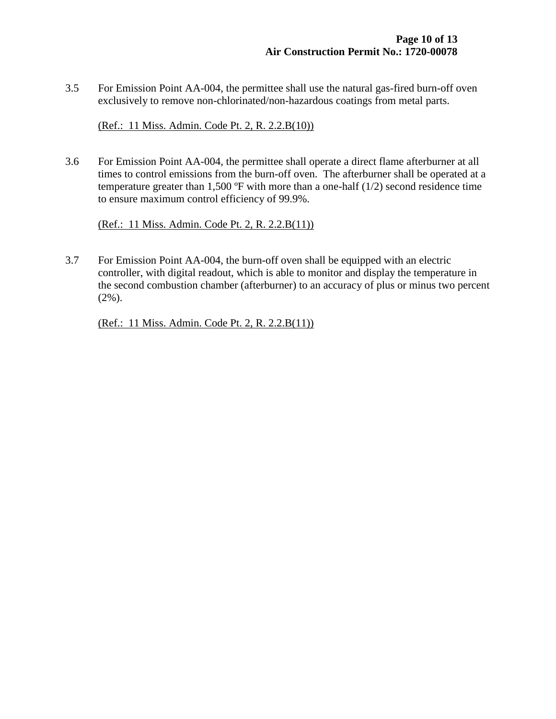3.5 For Emission Point AA-004, the permittee shall use the natural gas-fired burn-off oven exclusively to remove non-chlorinated/non-hazardous coatings from metal parts.

(Ref.: 11 Miss. Admin. Code Pt. 2, R. 2.2.B(10))

3.6 For Emission Point AA-004, the permittee shall operate a direct flame afterburner at all times to control emissions from the burn-off oven. The afterburner shall be operated at a temperature greater than 1,500  $\textdegree$ F with more than a one-half (1/2) second residence time to ensure maximum control efficiency of 99.9%.

(Ref.: 11 Miss. Admin. Code Pt. 2, R. 2.2.B(11))

3.7 For Emission Point AA-004, the burn-off oven shall be equipped with an electric controller, with digital readout, which is able to monitor and display the temperature in the second combustion chamber (afterburner) to an accuracy of plus or minus two percent (2%).

(Ref.: 11 Miss. Admin. Code Pt. 2, R. 2.2.B(11))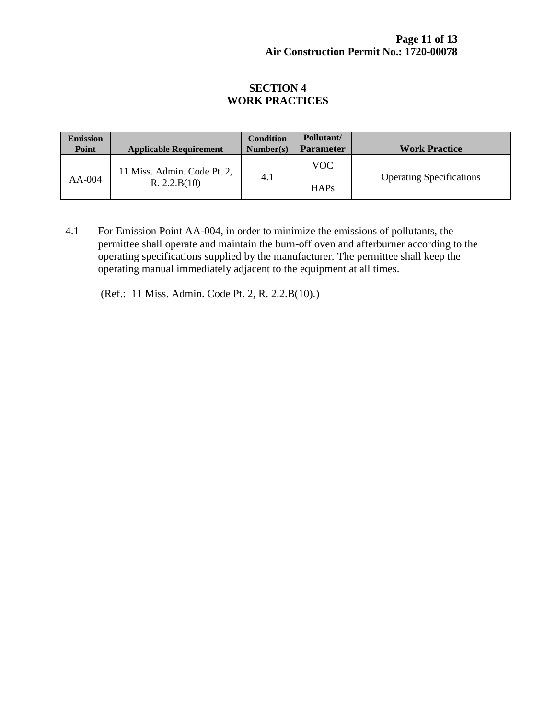## **SECTION 4 WORK PRACTICES**

| <b>Emission</b><br>Point | <b>Applicable Requirement</b>               | <b>Condition</b><br>Number(s) | Pollutant/<br><b>Parameter</b> | <b>Work Practice</b>            |
|--------------------------|---------------------------------------------|-------------------------------|--------------------------------|---------------------------------|
| AA-004                   | 11 Miss. Admin. Code Pt. 2,<br>R. 2.2.B(10) | 4.1                           | <b>VOC</b>                     | <b>Operating Specifications</b> |
|                          |                                             |                               | HAPs                           |                                 |

4.1 For Emission Point AA-004, in order to minimize the emissions of pollutants, the permittee shall operate and maintain the burn-off oven and afterburner according to the operating specifications supplied by the manufacturer. The permittee shall keep the operating manual immediately adjacent to the equipment at all times.

(Ref.: 11 Miss. Admin. Code Pt. 2, R. 2.2.B(10).)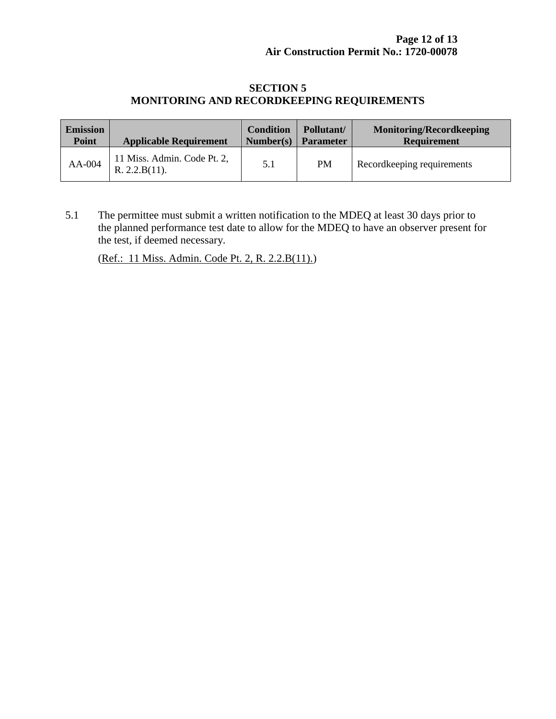## **SECTION 5 MONITORING AND RECORDKEEPING REQUIREMENTS**

| <b>Emission</b> | <b>Applicable Requirement</b>                | <b>Condition</b> | Pollutant/       | <b>Monitoring/Recordkeeping</b> |
|-----------------|----------------------------------------------|------------------|------------------|---------------------------------|
| <b>Point</b>    |                                              | Number(s)        | <b>Parameter</b> | <b>Requirement</b>              |
| AA-004          | 11 Miss. Admin. Code Pt. 2,<br>R. 2.2.B(11). | 5.1              | <b>PM</b>        | Record keeping requirements     |

5.1 The permittee must submit a written notification to the MDEQ at least 30 days prior to the planned performance test date to allow for the MDEQ to have an observer present for the test, if deemed necessary.

(Ref.: 11 Miss. Admin. Code Pt. 2, R. 2.2.B(11).)